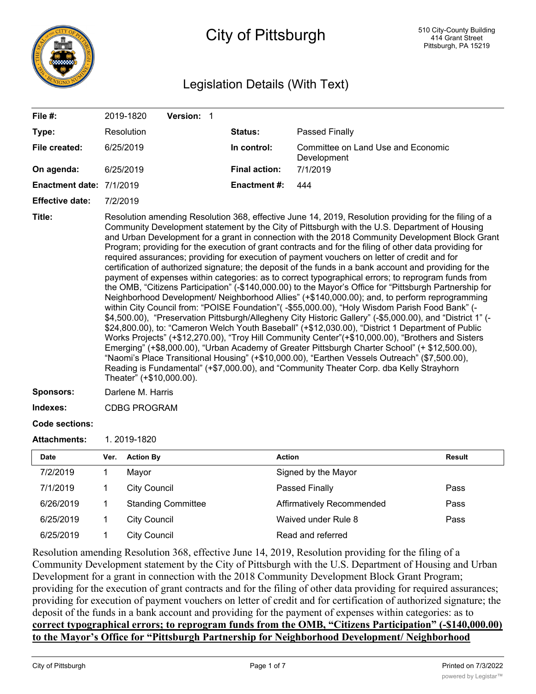

# City of Pittsburgh

## Legislation Details (With Text)

| File #:                  |                                                                                                                                                                                                                                                                                                                                                                                                                                                                                                                                                                                                                                                                                                                                                                                                                                                                                                                                                                                                                                                                                                                                                                                                                                                                                                                                                                                                                                                                                                                                                                                                                                                                                                                 | 2019-1820           | Version: 1                |  |                      |                                                   |               |
|--------------------------|-----------------------------------------------------------------------------------------------------------------------------------------------------------------------------------------------------------------------------------------------------------------------------------------------------------------------------------------------------------------------------------------------------------------------------------------------------------------------------------------------------------------------------------------------------------------------------------------------------------------------------------------------------------------------------------------------------------------------------------------------------------------------------------------------------------------------------------------------------------------------------------------------------------------------------------------------------------------------------------------------------------------------------------------------------------------------------------------------------------------------------------------------------------------------------------------------------------------------------------------------------------------------------------------------------------------------------------------------------------------------------------------------------------------------------------------------------------------------------------------------------------------------------------------------------------------------------------------------------------------------------------------------------------------------------------------------------------------|---------------------|---------------------------|--|----------------------|---------------------------------------------------|---------------|
| Type:                    |                                                                                                                                                                                                                                                                                                                                                                                                                                                                                                                                                                                                                                                                                                                                                                                                                                                                                                                                                                                                                                                                                                                                                                                                                                                                                                                                                                                                                                                                                                                                                                                                                                                                                                                 | Resolution          |                           |  | Status:              | Passed Finally                                    |               |
| File created:            |                                                                                                                                                                                                                                                                                                                                                                                                                                                                                                                                                                                                                                                                                                                                                                                                                                                                                                                                                                                                                                                                                                                                                                                                                                                                                                                                                                                                                                                                                                                                                                                                                                                                                                                 | 6/25/2019           |                           |  | In control:          | Committee on Land Use and Economic<br>Development |               |
| On agenda:               |                                                                                                                                                                                                                                                                                                                                                                                                                                                                                                                                                                                                                                                                                                                                                                                                                                                                                                                                                                                                                                                                                                                                                                                                                                                                                                                                                                                                                                                                                                                                                                                                                                                                                                                 | 6/25/2019           |                           |  | <b>Final action:</b> | 7/1/2019                                          |               |
| Enactment date: 7/1/2019 |                                                                                                                                                                                                                                                                                                                                                                                                                                                                                                                                                                                                                                                                                                                                                                                                                                                                                                                                                                                                                                                                                                                                                                                                                                                                                                                                                                                                                                                                                                                                                                                                                                                                                                                 |                     |                           |  | <b>Enactment#:</b>   | 444                                               |               |
| <b>Effective date:</b>   |                                                                                                                                                                                                                                                                                                                                                                                                                                                                                                                                                                                                                                                                                                                                                                                                                                                                                                                                                                                                                                                                                                                                                                                                                                                                                                                                                                                                                                                                                                                                                                                                                                                                                                                 |                     |                           |  |                      |                                                   |               |
| Title:                   | 7/2/2019<br>Resolution amending Resolution 368, effective June 14, 2019, Resolution providing for the filing of a<br>Community Development statement by the City of Pittsburgh with the U.S. Department of Housing<br>and Urban Development for a grant in connection with the 2018 Community Development Block Grant<br>Program; providing for the execution of grant contracts and for the filing of other data providing for<br>required assurances; providing for execution of payment vouchers on letter of credit and for<br>certification of authorized signature; the deposit of the funds in a bank account and providing for the<br>payment of expenses within categories: as to correct typographical errors; to reprogram funds from<br>the OMB, "Citizens Participation" (-\$140,000.00) to the Mayor's Office for "Pittsburgh Partnership for<br>Neighborhood Development/ Neighborhood Allies" (+\$140,000.00); and, to perform reprogramming<br>within City Council from: "POISE Foundation"( -\$55,000.00), "Holy Wisdom Parish Food Bank" (-<br>\$4,500.00), "Preservation Pittsburgh/Allegheny City Historic Gallery" (-\$5,000.00), and "District 1" (-<br>\$24,800.00), to: "Cameron Welch Youth Baseball" (+\$12,030.00), "District 1 Department of Public<br>Works Projects" (+\$12,270.00), "Troy Hill Community Center"(+\$10,000.00), "Brothers and Sisters<br>Emerging" (+\$8,000.00), "Urban Academy of Greater Pittsburgh Charter School" (+ \$12,500.00),<br>"Naomi's Place Transitional Housing" (+\$10,000.00), "Earthen Vessels Outreach" (\$7,500.00),<br>Reading is Fundamental" (+\$7,000.00), and "Community Theater Corp. dba Kelly Strayhorn<br>Theater" (+\$10,000.00). |                     |                           |  |                      |                                                   |               |
| <b>Sponsors:</b>         | Darlene M. Harris                                                                                                                                                                                                                                                                                                                                                                                                                                                                                                                                                                                                                                                                                                                                                                                                                                                                                                                                                                                                                                                                                                                                                                                                                                                                                                                                                                                                                                                                                                                                                                                                                                                                                               |                     |                           |  |                      |                                                   |               |
| Indexes:                 | <b>CDBG PROGRAM</b>                                                                                                                                                                                                                                                                                                                                                                                                                                                                                                                                                                                                                                                                                                                                                                                                                                                                                                                                                                                                                                                                                                                                                                                                                                                                                                                                                                                                                                                                                                                                                                                                                                                                                             |                     |                           |  |                      |                                                   |               |
| <b>Code sections:</b>    |                                                                                                                                                                                                                                                                                                                                                                                                                                                                                                                                                                                                                                                                                                                                                                                                                                                                                                                                                                                                                                                                                                                                                                                                                                                                                                                                                                                                                                                                                                                                                                                                                                                                                                                 |                     |                           |  |                      |                                                   |               |
| <b>Attachments:</b>      |                                                                                                                                                                                                                                                                                                                                                                                                                                                                                                                                                                                                                                                                                                                                                                                                                                                                                                                                                                                                                                                                                                                                                                                                                                                                                                                                                                                                                                                                                                                                                                                                                                                                                                                 | 1.2019-1820         |                           |  |                      |                                                   |               |
| <b>Date</b>              | Ver.                                                                                                                                                                                                                                                                                                                                                                                                                                                                                                                                                                                                                                                                                                                                                                                                                                                                                                                                                                                                                                                                                                                                                                                                                                                                                                                                                                                                                                                                                                                                                                                                                                                                                                            | <b>Action By</b>    |                           |  |                      | <b>Action</b>                                     | <b>Result</b> |
| 7/2/2019                 | 1                                                                                                                                                                                                                                                                                                                                                                                                                                                                                                                                                                                                                                                                                                                                                                                                                                                                                                                                                                                                                                                                                                                                                                                                                                                                                                                                                                                                                                                                                                                                                                                                                                                                                                               | Mayor               |                           |  |                      | Signed by the Mayor                               |               |
| 7/1/2019                 | 1                                                                                                                                                                                                                                                                                                                                                                                                                                                                                                                                                                                                                                                                                                                                                                                                                                                                                                                                                                                                                                                                                                                                                                                                                                                                                                                                                                                                                                                                                                                                                                                                                                                                                                               | <b>City Council</b> |                           |  |                      | Passed Finally                                    | Pass          |
| 6/26/2019                | 1                                                                                                                                                                                                                                                                                                                                                                                                                                                                                                                                                                                                                                                                                                                                                                                                                                                                                                                                                                                                                                                                                                                                                                                                                                                                                                                                                                                                                                                                                                                                                                                                                                                                                                               |                     | <b>Standing Committee</b> |  |                      | Affirmatively Recommended                         | Pass          |

**correct typographical errors; to reprogram funds from the OMB, "Citizens Participation" (-\$140,000.00) to the Mayor's Office for "Pittsburgh Partnership for Neighborhood Development/ Neighborhood**

deposit of the funds in a bank account and providing for the payment of expenses within categories: as to

6/25/2019 1 City Council Waived under Rule 8 Pass

Resolution amending Resolution 368, effective June 14, 2019, Resolution providing for the filing of a

Development for a grant in connection with the 2018 Community Development Block Grant Program;

Community Development statement by the City of Pittsburgh with the U.S. Department of Housing and Urban

providing for the execution of grant contracts and for the filing of other data providing for required assurances; providing for execution of payment vouchers on letter of credit and for certification of authorized signature; the

6/25/2019 1 City Council Contract Read and referred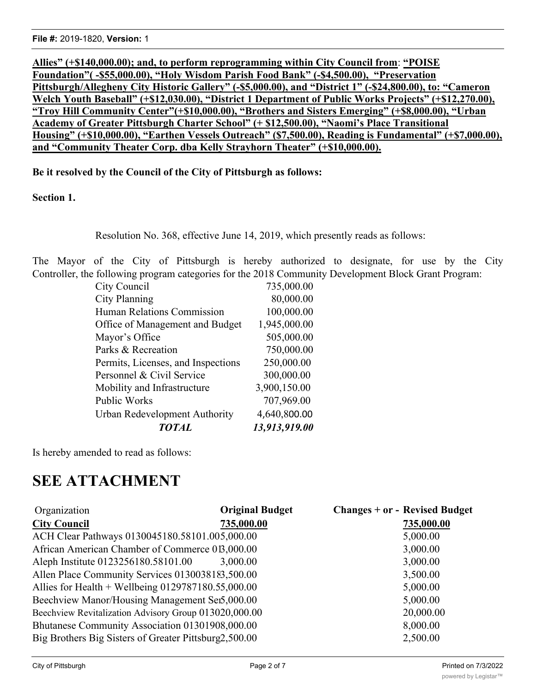**Allies" (+\$140,000.00); and, to perform reprogramming within City Council from**: **"POISE Foundation"( -\$55,000.00), "Holy Wisdom Parish Food Bank" (-\$4,500.00), "Preservation Pittsburgh/Allegheny City Historic Gallery" (-\$5,000.00), and "District 1" (-\$24,800.00), to: "Cameron Welch Youth Baseball" (+\$12,030.00), "District 1 Department of Public Works Projects" (+\$12,270.00), "Troy Hill Community Center"(+\$10,000.00), "Brothers and Sisters Emerging" (+\$8,000.00), "Urban Academy of Greater Pittsburgh Charter School" (+ \$12,500.00), "Naomi's Place Transitional Housing" (+\$10,000.00), "Earthen Vessels Outreach" (\$7,500.00), Reading is Fundamental" (+\$7,000.00), and "Community Theater Corp. dba Kelly Strayhorn Theater" (+\$10,000.00).**

**Be it resolved by the Council of the City of Pittsburgh as follows:**

**Section 1.**

Resolution No. 368, effective June 14, 2019, which presently reads as follows:

The Mayor of the City of Pittsburgh is hereby authorized to designate, for use by the City Controller, the following program categories for the 2018 Community Development Block Grant Program:

| 13,913,919.00 |
|---------------|
| 4,640,800.00  |
| 707,969.00    |
| 3,900,150.00  |
| 300,000.00    |
| 250,000.00    |
| 750,000.00    |
| 505,000.00    |
| 1,945,000.00  |
| 100,000.00    |
| 80,000.00     |
| 735,000.00    |
|               |

Is hereby amended to read as follows:

# **SEE ATTACHMENT**

| Organization                                          | <b>Original Budget</b> | <b>Changes + or - Revised Budget</b> |
|-------------------------------------------------------|------------------------|--------------------------------------|
| <b>City Council</b>                                   | 735,000.00             | 735,000.00                           |
| ACH Clear Pathways 0130045180.58101.005,000.00        |                        | 5,000.00                             |
| African American Chamber of Commerce 013,000.00       |                        | 3,000.00                             |
| Aleph Institute 0123256180.58101.00                   | 3,000.00               | 3,000.00                             |
| Allen Place Community Services 0130038183,500.00      |                        | 3,500.00                             |
| Allies for Health + Wellbeing $0129787180.55,000.00$  |                        | 5,000.00                             |
| Beechview Manor/Housing Management Sei5,000.00        |                        | 5,000.00                             |
| Beechview Revitalization Advisory Group 013020,000.00 |                        | 20,000.00                            |
| Bhutanese Community Association 01301908,000.00       |                        | 8,000.00                             |
| Big Brothers Big Sisters of Greater Pittsburg2,500.00 |                        | 2,500.00                             |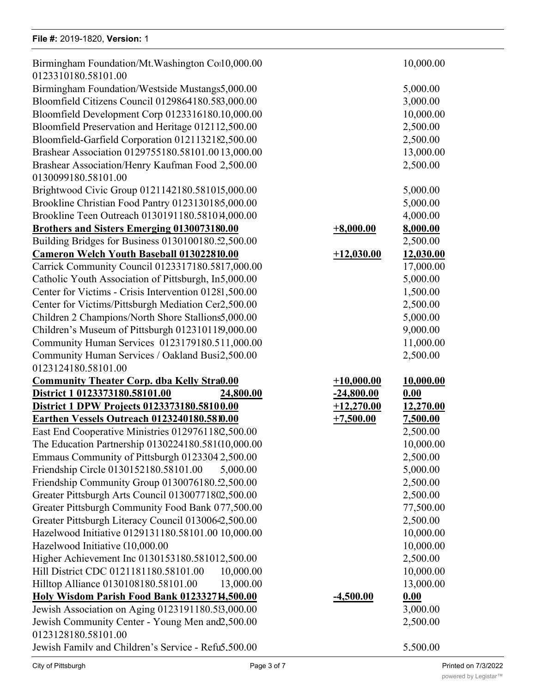#### **File #:** 2019-1820, Version: 1

| Birmingham Foundation/Mt. Washington Coil 0,000.00<br>0123310180.58101.00                  |                             | 10,000.00             |
|--------------------------------------------------------------------------------------------|-----------------------------|-----------------------|
| Birmingham Foundation/Westside Mustangs5,000.00                                            |                             | 5,000.00              |
| Bloomfield Citizens Council 0129864180.583,000.00                                          |                             | 3,000.00              |
| Bloomfield Development Corp 0123316180.10,000.00                                           |                             | 10,000.00             |
| Bloomfield Preservation and Heritage 012112,500.00                                         |                             | 2,500.00              |
| Bloomfield-Garfield Corporation 0121132182,500.00                                          |                             | 2,500.00              |
| Brashear Association 0129755180.58101.0013,000.00                                          |                             | 13,000.00             |
| Brashear Association/Henry Kaufman Food 2,500.00                                           |                             | 2,500.00              |
| 0130099180.58101.00                                                                        |                             |                       |
| Brightwood Civic Group 0121142180.581015,000.00                                            |                             | 5,000.00              |
| Brookline Christian Food Pantry 0123130185,000.00                                          |                             | 5,000.00              |
| Brookline Teen Outreach 0130191180.581014,000.00                                           |                             | 4,000.00              |
| <b>Brothers and Sisters Emerging 0130073180.00</b>                                         | $+8,000.00$                 | 8,000.00              |
| Building Bridges for Business 0130100180.52,500.00                                         |                             | 2,500.00              |
| <b>Cameron Welch Youth Baseball 013022810.00</b>                                           | $+12,030.00$                | 12,030.00             |
| Carrick Community Council 0123317180.5817,000.00                                           |                             | 17,000.00             |
| Catholic Youth Association of Pittsburgh, In5,000.00                                       |                             | 5,000.00              |
| Center for Victims - Crisis Intervention 01281,500.00                                      |                             | 1,500.00              |
| Center for Victims/Pittsburgh Mediation Cer2,500.00                                        |                             | 2,500.00              |
| Children 2 Champions/North Shore Stallions5,000.00                                         |                             | 5,000.00              |
| Children's Museum of Pittsburgh 012310119,000.00                                           |                             | 9,000.00              |
| Community Human Services 0123179180.511,000.00                                             |                             | 11,000.00             |
| Community Human Services / Oakland Busi2,500.00                                            |                             | 2,500.00              |
| 0123124180.58101.00                                                                        |                             |                       |
|                                                                                            | $+10,000.00$                | 10,000.00             |
| <b>Community Theater Corp. dba Kelly Stra0.00</b><br>District 1 0123373180.58101.00        | $-24,800.00$                | 0.00                  |
| 24,800.00                                                                                  |                             |                       |
| District 1 DPW Projects 0123373180.58100.00<br>Earthen Vessels Outreach 0123240180.5810.00 | $+12,270.00$<br>$+7,500.00$ | 12,270.00<br>7,500.00 |
| East End Cooperative Ministries 0129761180,500.00                                          |                             | 2,500.00              |
|                                                                                            |                             |                       |
| The Education Partnership 0130224180.581(10,000.00                                         |                             | 10,000.00             |
| Emmaus Community of Pittsburgh 01233042,500.00                                             |                             | 2,500.00              |
| Friendship Circle 0130152180.58101.00<br>5,000.00                                          |                             | 5,000.00              |
| Friendship Community Group 0130076180.52,500.00                                            |                             | 2,500.00              |
| Greater Pittsburgh Arts Council 01300771802,500.00                                         |                             | 2,500.00              |
| Greater Pittsburgh Community Food Bank 077,500.00                                          |                             | 77,500.00             |
| Greater Pittsburgh Literacy Council 01300642,500.00                                        |                             | 2,500.00              |
| Hazelwood Initiative 0129131180.58101.00 10,000.00                                         |                             | 10,000.00             |
| Hazelwood Initiative (10,000.00                                                            |                             | 10,000.00             |
| Higher Achievement Inc 0130153180.581012,500.00                                            |                             | 2,500.00              |
| Hill District CDC 0121181180.58101.00<br>10,000.00                                         |                             | 10,000.00             |
| 13,000.00<br>Hilltop Alliance 0130108180.58101.00                                          |                             | 13,000.00             |
| Holy Wisdom Parish Food Bank 012332714,500.00                                              | $-4,500.00$                 | 0.00                  |
| Jewish Association on Aging 0123191180.58,000.00                                           |                             | 3,000.00              |
| Jewish Community Center - Young Men and 2,500.00                                           |                             | 2,500.00              |
| 0123128180.58101.00                                                                        |                             |                       |
| Jewish Family and Children's Service - Refu5.500.00                                        |                             | 5.500.00              |

Beechview Revitalization Advisory Group 0130134180.58101.00 20,000.00 20,000.00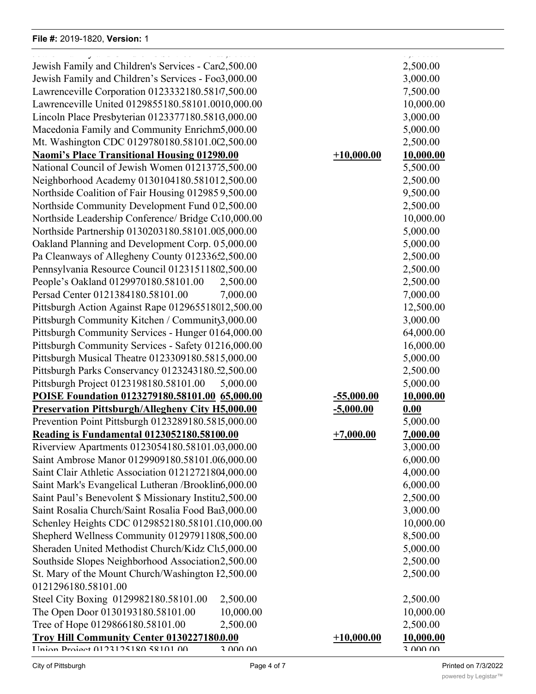#### **File #: 2019-1820, Version: 1**

Jewish Community Center - Young Men and Women's Hebrew Association

2,500.000 2,500.000 2,500.000 2,500.000 2,500.000 2,500.000 2,500.000 2,500.000 2,500.000 2,500.000 2,500.000

|                                                         |                  | د د د د د چو |
|---------------------------------------------------------|------------------|--------------|
| Jewish Family and Children's Services - Car2,500.00     |                  | 2,500.00     |
| Jewish Family and Children's Services - Foo3,000.00     |                  | 3,000.00     |
| Lawrenceville Corporation 0123332180.5817,500.00        |                  | 7,500.00     |
| Lawrenceville United 0129855180.58101.0010,000.00       |                  | 10,000.00    |
| Lincoln Place Presbyterian 0123377180.5816,000.00       |                  | 3,000.00     |
| Macedonia Family and Community Enrichm5,000.00          |                  | 5,000.00     |
| Mt. Washington CDC 0129780180.58101.002,500.00          |                  | 2,500.00     |
| <b>Naomi's Place Transitional Housing 012980.00</b>     | $+10,000.00$     |              |
|                                                         |                  | 10,000.00    |
| National Council of Jewish Women 01213775,500.00        |                  | 5,500.00     |
| Neighborhood Academy 0130104180.581012,500.00           |                  | 2,500.00     |
| Northside Coalition of Fair Housing 0129859,500.00      |                  | 9,500.00     |
| Northside Community Development Fund 012,500.00         |                  | 2,500.00     |
| Northside Leadership Conference/ Bridge Cc10,000.00     |                  | 10,000.00    |
| Northside Partnership 0130203180.58101.005,000.00       |                  | 5,000.00     |
| Oakland Planning and Development Corp. 05,000.00        |                  | 5,000.00     |
| Pa Cleanways of Allegheny County 01233652,500.00        |                  | 2,500.00     |
| Pennsylvania Resource Council 01231511802,500.00        |                  | 2,500.00     |
| People's Oakland 0129970180.58101.00<br>2,500.00        |                  | 2,500.00     |
| Persad Center 0121384180.58101.00<br>7,000.00           |                  | 7,000.00     |
| Pittsburgh Action Against Rape 012965518012,500.00      |                  | 12,500.00    |
| Pittsburgh Community Kitchen / Community3,000.00        |                  | 3,000.00     |
| Pittsburgh Community Services - Hunger 0164,000.00      |                  | 64,000.00    |
| Pittsburgh Community Services - Safety 01216,000.00     |                  | 16,000.00    |
| Pittsburgh Musical Theatre 0123309180.5815,000.00       |                  | 5,000.00     |
| Pittsburgh Parks Conservancy 0123243180.52,500.00       |                  | 2,500.00     |
| Pittsburgh Project 0123198180.58101.00<br>5,000.00      |                  | 5,000.00     |
|                                                         |                  |              |
| POISE Foundation 0123279180.58101.00 65,000.00          | $-55,000.00$     | 10,000.00    |
| <b>Preservation Pittsburgh/Allegheny City H5,000.00</b> | <u>-5,000.00</u> | 0.00         |
| Prevention Point Pittsburgh 0123289180.5815,000.00      |                  | 5,000.00     |
| <b>Reading is Fundamental 0123052180.58100.00</b>       | $+7,000.00$      | 7,000.00     |
| Riverview Apartments 0123054180.58101.03,000.00         |                  | 3,000.00     |
| Saint Ambrose Manor 0129909180.58101.0(6,000.00         |                  | 6,000.00     |
| Saint Clair Athletic Association 01212721804,000.00     |                  | 4,000.00     |
| Saint Mark's Evangelical Lutheran /Brooklin6,000.00     |                  | 6,000.00     |
| Saint Paul's Benevolent \$ Missionary Institu2,500.00   |                  | 2,500.00     |
| Saint Rosalia Church/Saint Rosalia Food Bai3,000.00     |                  | 3,000.00     |
| Schenley Heights CDC 0129852180.58101.010,000.00        |                  | 10,000.00    |
| Shepherd Wellness Community 01297911808,500.00          |                  | 8,500.00     |
| Sheraden United Methodist Church/Kidz Clt5,000.00       |                  | 5,000.00     |
| Southside Slopes Neighborhood Association2,500.00       |                  | 2,500.00     |
| St. Mary of the Mount Church/Washington F2,500.00       |                  | 2,500.00     |
| 0121296180.58101.00                                     |                  |              |
| Steel City Boxing 0129982180.58101.00<br>2,500.00       |                  | 2,500.00     |
| The Open Door 0130193180.58101.00<br>10,000.00          |                  | 10,000.00    |
| Tree of Hope 0129866180.58101.00<br>2,500.00            |                  | 2,500.00     |
|                                                         |                  |              |
| Troy Hill Community Center 0130227180.0.00              | $+10,000.00$     | 10,000.00    |
| IInian Draiget 0122125180 58101 00<br>2 000 00          |                  | 2 000 00     |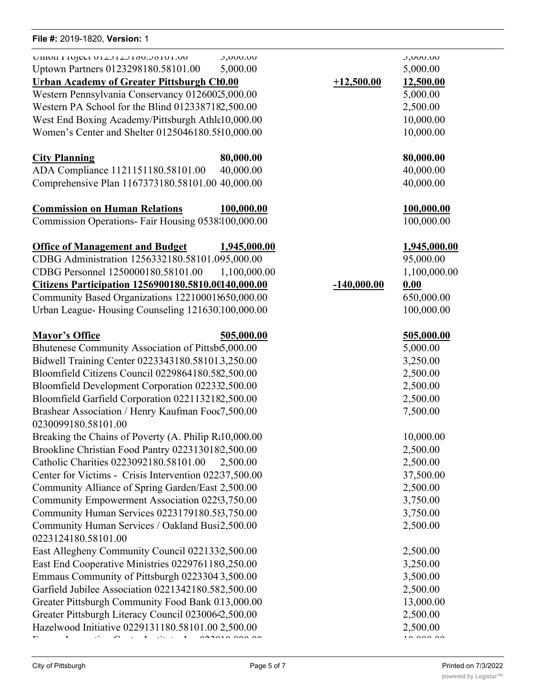#### City of Pittsburgh

| File #: 2019-1820, Version: 1                                                                                                                         |                                                   |               |                       |
|-------------------------------------------------------------------------------------------------------------------------------------------------------|---------------------------------------------------|---------------|-----------------------|
| UIIIUII FIUJELI UIZJIZJIOU.JOIUI.UU<br>Uptown Partners 0123298180.58101.00                                                                            | J,UUU.UU<br>5,000.00                              |               | J,UUU.UU<br>5,000.00  |
| <b>Urban Academy of Greater Pittsburgh Ch0.00</b>                                                                                                     |                                                   | $+12,500.00$  | 12,500.00             |
| Western Pennsylvania Conservancy 01260025,000.00                                                                                                      |                                                   |               | 5,000.00              |
| Western PA School for the Blind 0123387182,500.00                                                                                                     |                                                   |               | 2,500.00              |
| West End Boxing Academy/Pittsburgh Athle10,000.00                                                                                                     |                                                   |               | 10,000.00             |
| Women's Center and Shelter 0125046180.5810,000.00                                                                                                     |                                                   |               | 10,000.00             |
| <b>City Planning</b>                                                                                                                                  | 80,000.00                                         |               | 80,000.00             |
| ADA Compliance 1121151180.58101.00                                                                                                                    | 40,000.00                                         |               | 40,000.00             |
| Comprehensive Plan 1167373180.58101.00 40,000.00                                                                                                      |                                                   |               | 40,000.00             |
| <b>Commission on Human Relations</b>                                                                                                                  | 100,000.00                                        |               | 100,000.0             |
| Commission Operations- Fair Housing 0538 100,000.00                                                                                                   |                                                   |               | 100,000.0             |
| <b>Office of Management and Budget</b>                                                                                                                | 1,945,000.00                                      |               | <u>1,945,000</u>      |
| CDBG Administration 1256332180.58101.095,000.00                                                                                                       |                                                   |               | 95,000.00             |
| CDBG Personnel 1250000180.58101.00                                                                                                                    | 1,100,000.00                                      |               | 1,100,000             |
| <u>Citizens Participation 1256900180.5810.00140,000.00</u>                                                                                            |                                                   | $-140,000.00$ | 0.00                  |
| Community Based Organizations 122100018650,000.00                                                                                                     |                                                   |               | 650,000.0             |
| Urban League-Housing Counseling 121630.100,000.00                                                                                                     |                                                   |               | 100,000.0             |
| <b>Mayor's Office</b>                                                                                                                                 | 505,000.00                                        |               | 505,000.0             |
| Bhutenese Community Association of Pittsb5,000.00                                                                                                     |                                                   |               | 5,000.00              |
| Bidwell Training Center 0223343180.581013,250.00                                                                                                      |                                                   |               | 3,250.00              |
| Bloomfield Citizens Council 0229864180.582,500.00                                                                                                     |                                                   |               | 2,500.00              |
| Bloomfield Development Corporation 022332,500.00                                                                                                      |                                                   |               | 2,500.00              |
| Bloomfield Garfield Corporation 0221132182,500.00                                                                                                     |                                                   |               | 2,500.00              |
| Brashear Association / Henry Kaufman Food7,500.00<br>0230099180.58101.00                                                                              |                                                   |               | 7,500.00              |
| Breaking the Chains of Poverty (A. Philip Rt10,000.00                                                                                                 |                                                   |               | 10,000.00             |
|                                                                                                                                                       | Brookline Christian Food Pantry 0223130182,500.00 |               | 2,500.00              |
|                                                                                                                                                       |                                                   |               |                       |
|                                                                                                                                                       | 2,500.00                                          |               | 2,500.00              |
| Catholic Charities 0223092180.58101.00<br>Center for Victims - Crisis Intervention 02237,500.00                                                       |                                                   |               |                       |
|                                                                                                                                                       |                                                   |               | 2,500.00              |
|                                                                                                                                                       |                                                   |               | 3,750.00              |
| Community Alliance of Spring Garden/East 2,500.00<br>Community Empowerment Association 02253,750.00<br>Community Human Services 0223179180.583,750.00 |                                                   |               | 37,500.00<br>3,750.00 |
|                                                                                                                                                       |                                                   |               | 2,500.00              |
| Community Human Services / Oakland Busi2,500.00<br>0223124180.58101.00<br>East Allegheny Community Council 0221332,500.00                             |                                                   |               | 2,500.00              |

East End Cooperative Ministries 0229761186,250.00 3,250.00 Emmaus Community of Pittsburgh 0223304 3,500.00 3,500.00 Garfield Jubilee Association 0221342180.582,500.00 2,500.00 Greater Pittsburgh Community Food Bank 0.13,000.00 13,000.00 13,000.00 Greater Pittsburgh Literacy Council 02300642,500.00 2,500.00 2,500.00 Hazelwood Initiative 0229131180.58101.00 2,500.00 2,500.00 2,500.00 2,500.00 Energy Innovation Center Institute, Inc 0230197180.58101.00 10,000.00 10,000.00

Jewish Community Center - Young Men and Women's Hebrew Association

**Commission on Human Relations 100,000.00 100,000.00** 100,000.00 **Office of Management and Budget 1,945,000.00 1,945,000.00**

# 1,100,000.00 **Citizens Participation 1256900180.5810.00140,000.00 -140,000.00 0.00** 650,000.00 100,000.00

# **Mayor's Office 505,000.00 505,000.00** 7,500.00 7,500.00 2,500.00 2,500.00

2,500.00 2,500.00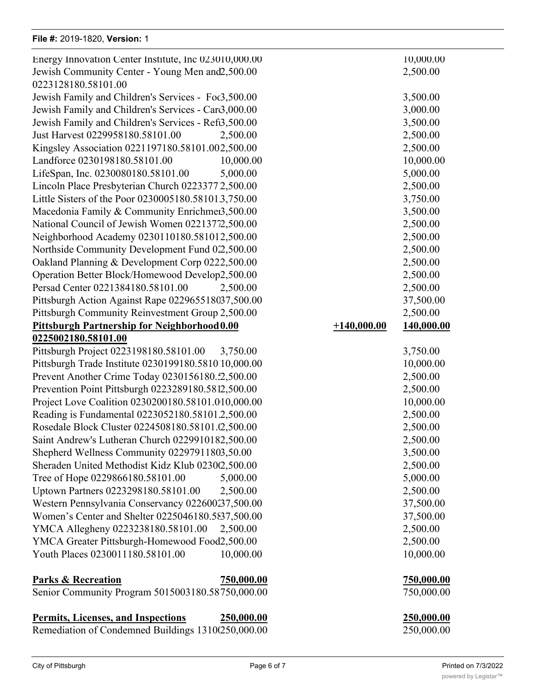$\frac{1}{100}$   $\frac{1}{100}$   $\frac{1}{100}$   $\frac{1}{100}$ , total  $\frac{1}{100}$ Energy Innovation Center Institute, Inc 023010,000.00 Jewish Community Center - Young Men and 2,500.00 2,500.00 0223128180.58101.00 Jewish Family and Children's Services - Foc3,500.00 Jewish Family and Children's Services - Car3,000.00 Jewish Family and Children's Services - Refi3,500.00 Just Harvest 0229958180.58101.00 2,500.00 2,500.00 Kingsley Association 0221197180.58101.002,500.00 Landforce 0230198180.58101.00 10,000.00 LifeSpan, Inc. 0230080180.58101.00 5,000.00 5,000.00 Lincoln Place Presbyterian Church 02233772,500.00 Little Sisters of the Poor 0230005180.581013,750.00 Macedonia Family & Community Enrichmen3,500.00 National Council of Jewish Women 02213772,500.00 Neighborhood Academy 0230110180.581012,500.00 Northside Community Development Fund 02,500.00 Oakland Planning & Development Corp 0222,500.00 Operation Better Block/Homewood Develop2,500.00 Persad Center 0221384180.58101.00 2,500.00 2,500.00 Pittsburgh Action Against Rape 022965518037,500.00 Pittsburgh Community Reinvestment Group 2,500.00 **Pittsburgh Partnership for Neighborhood 0.00** +1<sup>2</sup> **0225002180.58101.00** Pittsburgh Project 0223198180.58101.00 3,750.00 3,750.00 Pittsburgh Trade Institute 0230199180.581010,000.00 Prevent Another Crime Today 0230156180.52,500.00 Prevention Point Pittsburgh 0223289180.5812,500.00 Project Love Coalition 0230200180.58101.010,000.00 Reading is Fundamental 0223052180.58101.2,500.00 Rosedale Block Cluster 0224508180.58101.02,500.00 Saint Andrew's Lutheran Church 0229910182,500.00 Shepherd Wellness Community 02297911803,50.00 Sheraden United Methodist Kidz Klub 02300,500.00 Tree of Hope 0229866180.58101.00 5,000.00 5,000.00 Uptown Partners 0223298180.58101.00 2,500.00 2,500.00 Western Pennsylvania Conservancy 022600237,500.00 Women's Center and Shelter 0225046180.5837,500.00 YMCA Allegheny 0223238180.58101.00 2,500.00 2,500.00 YMCA Greater Pittsburgh-Homewood Food 2,500.00 Youth Places 0230011180.58101.00 10,000.00

#### **Parks & Recreation 750,000.00 750,000.00**

**Personnel & Civil Service 300,000.00 300,000.00**

Senior Community Program 5015003180.58750,000.00 750,000.00

## **Permits, Licenses, and Inspections 250,000.00 250,000.00**

Remediation of Condemned Buildings 1310(250,000.00 250,000.00 250,000.00

| 10,000.00            |               | 10,000.00              |
|----------------------|---------------|------------------------|
| 2,500.00             |               | 2,500.00               |
|                      |               |                        |
| 3,500.00             |               | 3,500.00               |
| 3,000.00             |               | 3,000.00               |
| 3,500.00             |               | 3,500.00               |
| 2,500.00             |               | 2,500.00               |
| 2,500.00             |               | 2,500.00               |
| 10,000.00            |               | 10,000.00              |
| 5,000.00             |               | 5,000.00               |
| 2,500.00             |               | 2,500.00               |
| 3,750.00             |               | 3,750.00               |
| 3,500.00             |               | 3,500.00               |
| 2,500.00             |               | 2,500.00               |
| 2,500.00             |               | 2,500.00               |
| 2,500.00             |               | 2,500.00               |
| 2,500.00             |               | 2,500.00               |
| 2,500.00             |               | 2,500.00               |
| 2,500.00             |               | 2,500.00               |
| 37,500.00            |               | 37,500.00              |
| 2,500.00             |               | 2,500.00               |
| 0.00                 | $+140,000.00$ | 140,000.00             |
|                      |               |                        |
| 3,750.00             |               | 3,750.00               |
| 10,000.00            |               | 10,000.00              |
| 2,500.00             |               | 2,500.00               |
| 2,500.00             |               | 2,500.00               |
| 10,000.00            |               | 10,000.00              |
| 2,500.00             |               | 2,500.00               |
| 2,500.00             |               | 2,500.00               |
| 2,500.00             |               | 2,500.00               |
| 3,50.00              |               | 3,500.00               |
| 2,500.00<br>5,000.00 |               | 2,500.00<br>5,000.00   |
| 2,500.00             |               | 2,500.00               |
| 37,500.00            |               |                        |
| 37,500.00            |               | 37,500.00<br>37,500.00 |
| 2,500.00             |               | 2,500.00               |
| 2,500.00             |               | 2,500.00               |
| 10,000.00            |               | 10,000.00              |
|                      |               |                        |
| 750,000.00           |               | 750,000.00             |
|                      |               |                        |